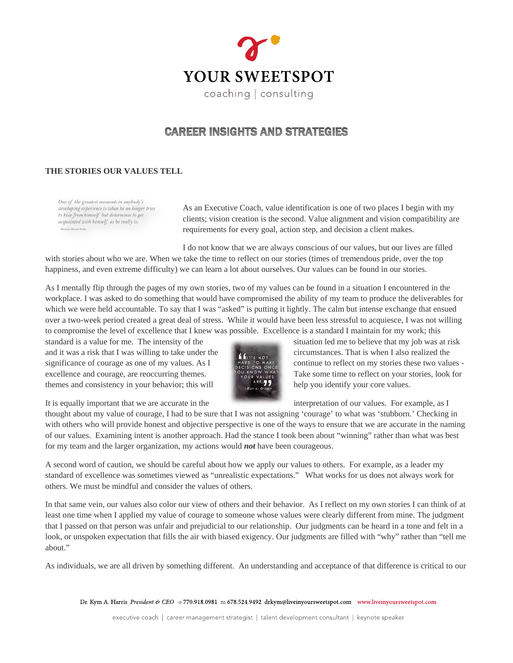

## **CAREER INSIGHTS AND STRATEGIES**

## **THE STORIES OUR VALUES TELL**

One of the greatest moments in anybody's developing experience is when he no longer tries to hide from himself but determines to get acquainted with himself as he really is.

As an Executive Coach, value identification is one of two places I begin with my clients; vision creation is the second. Value alignment and vision compatibility are requirements for every goal, action step, and decision a client makes.

I do not know that we are always conscious of our values, but our lives are filled with stories about who we are. When we take the time to reflect on our stories (times of tremendous pride, over the top happiness, and even extreme difficulty) we can learn a lot about ourselves. Our values can be found in our stories.

As I mentally flip through the pages of my own stories, two of my values can be found in a situation I encountered in the workplace. I was asked to do something that would have compromised the ability of my team to produce the deliverables for which we were held accountable. To say that I was "asked" is putting it lightly. The calm but intense exchange that ensued over a two-week period created a great deal of stress. While it would have been less stressful to acquiesce, I was not willing to compromise the level of excellence that I knew was possible. Excellence is a standard I maintain for my work; this

standard is a value for me. The intensity of the situation led me to believe that my job was at risk and it was a risk that I was willing to take under the circumstances. That is when I also realized the significance of courage as one of my values. As I have to make continue to reflect on my stories these two values excellence and courage, are reoccurring themes.<br>  $\frac{1}{2}$  Take some time to reflect on your stories, look for<br>
themes and consistency in your behavior: this will<br>
are  $\frac{1}{2}$  help you identify your core values themes and consistency in your behavior; this will help you identify your core values.



It is equally important that we are accurate in the interpretation of our values. For example, as I

thought about my value of courage, I had to be sure that I was not assigning 'courage' to what was 'stubborn.' Checking in with others who will provide honest and objective perspective is one of the ways to ensure that we are accurate in the naming of our values. Examining intent is another approach. Had the stance I took been about "winning" rather than what was best for my team and the larger organization, my actions would *not* have been courageous.

A second word of caution, we should be careful about how we apply our values to others. For example, as a leader my standard of excellence was sometimes viewed as "unrealistic expectations." What works for us does not always work for others. We must be mindful and consider the values of others.

In that same vein, our values also color our view of others and their behavior. As I reflect on my own stories I can think of at least one time when I applied my value of courage to someone whose values were clearly different from mine. The judgment that I passed on that person was unfair and prejudicial to our relationship. Our judgments can be heard in a tone and felt in a look, or unspoken expectation that fills the air with biased exigency. Our judgments are filled with "why" rather than "tell me about."

As individuals, we are all driven by something different. An understanding and acceptance of that difference is critical to our